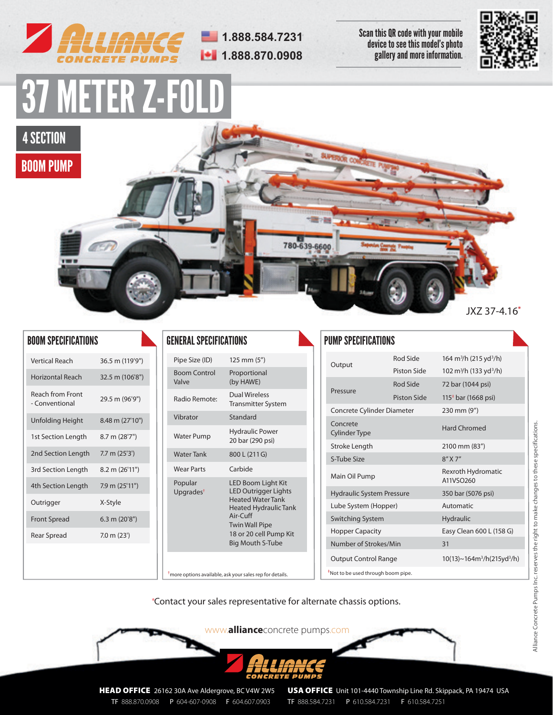

**1.888.584.7231 1.888.870.0908** Scan this QR code with your mobile device to see this model's photo gallery and more information.



## 37 METER Z-FOLD

4 SECTION

BOOM PUMP



## BOOM SPECIFICATIONS

| <b>Vertical Reach</b>                     | 36.5 m (119'9")   |
|-------------------------------------------|-------------------|
| <b>Horizontal Reach</b>                   | 32.5 m (106'8")   |
| <b>Reach from Front</b><br>- Conventional | 29.5 m (96'9")    |
| Unfolding Height                          | 8.48 m (27'10")   |
| 1st Section Length                        | 8.7 m (28'7")     |
| 2nd Section Length                        | $7.7$ m $(25'3')$ |
| 3rd Section Length                        | 8.2 m (26'11")    |
| 4th Section Length                        | 7.9 m (25'11")    |
| Outrigger                                 | X-Style           |
| <b>Front Spread</b>                       | $6.3$ m $(20'8")$ |
| Rear Spread                               | 7.0 m(23')        |
|                                           |                   |

## GENERAL SPECIFICATIONS

| Pipe Size (ID)                                                       | 125 mm (5")                                                                                                                                                                                                       |  |  |
|----------------------------------------------------------------------|-------------------------------------------------------------------------------------------------------------------------------------------------------------------------------------------------------------------|--|--|
| <b>Boom Control</b><br>Valve                                         | Proportional<br>(by HAWE)                                                                                                                                                                                         |  |  |
| Radio Remote:                                                        | <b>Dual Wireless</b><br><b>Transmitter System</b>                                                                                                                                                                 |  |  |
| Vibrator                                                             | Standard                                                                                                                                                                                                          |  |  |
| <b>Water Pump</b>                                                    | <b>Hydraulic Power</b><br>20 bar (290 psi)                                                                                                                                                                        |  |  |
| <b>Water Tank</b>                                                    | 800 L (211 G)                                                                                                                                                                                                     |  |  |
| <b>Wear Parts</b>                                                    | Carbide                                                                                                                                                                                                           |  |  |
| Popular<br>Upgrades <sup>+</sup>                                     | <b>LED Boom Light Kit</b><br><b>LED Outrigger Lights</b><br><b>Heated Water Tank</b><br><b>Heated Hydraulic Tank</b><br>$Air-C$ uff<br><b>Twin Wall Pipe</b><br>18 or 20 cell Pump Kit<br><b>Big Mouth S-Tube</b> |  |  |
| <sup>†</sup> more options available, ask your sales rep for details. |                                                                                                                                                                                                                   |  |  |

## PUMP SPECIFICATIONS

| Output                             | Rod Side    | 164 m <sup>3</sup> /h (215 yd <sup>3</sup> /h) |
|------------------------------------|-------------|------------------------------------------------|
|                                    | Piston Side | 102 m <sup>3</sup> /h (133 yd <sup>3</sup> /h) |
| Pressure                           | Rod Side    | 72 bar (1044 psi)                              |
|                                    | Piston Side | $115^{\dagger}$ bar (1668 psi)                 |
| Concrete Cylinder Diameter         |             | 230 mm (9")                                    |
| Concrete<br><b>Cylinder Type</b>   |             | Hard Chromed                                   |
| Stroke Length                      |             | 2100 mm (83")                                  |
| S-Tube Size                        |             | 8" X 7"                                        |
| Main Oil Pump                      |             | Rexroth Hydromatic<br>A11VSO <sub>260</sub>    |
| <b>Hydraulic System Pressure</b>   |             | 350 bar (5076 psi)                             |
| Lube System (Hopper)               |             | Automatic                                      |
| <b>Switching System</b>            |             | Hydraulic                                      |
| <b>Hopper Capacity</b>             |             | Easy Clean 600 L (158 G)                       |
| Number of Strokes/Min              |             | 31                                             |
| <b>Output Control Range</b>        |             | $10(13)$ ~ $164m^3/h(215yd^3/h)$               |
| *Not to be used through boom pipe. |             |                                                |

∗ Contact your sales representative for alternate chassis options.

www.**alliance**concrete pumps.com



**HEAD OFFICE** 26162 30A Ave Aldergrove, BC V4W 2W5 TF 888.870.0908 P 604-607-0908 F 604.607.0903

**USA OFFICE** Unit 101-4440 Township Line Rd. Skippack, PA 19474 USA TF 888.584.7231 P 610.584.7231 F 610.584.7251